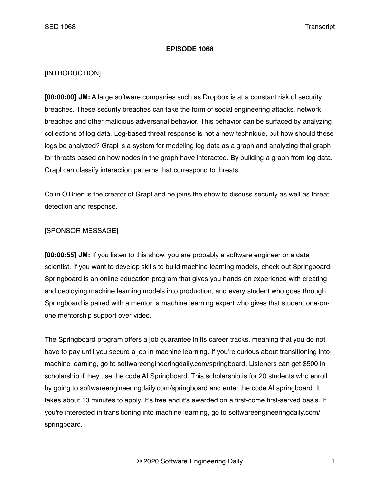#### **EPISODE 1068**

### [INTRODUCTION]

**[00:00:00] JM:** A large software companies such as Dropbox is at a constant risk of security breaches. These security breaches can take the form of social engineering attacks, network breaches and other malicious adversarial behavior. This behavior can be surfaced by analyzing collections of log data. Log-based threat response is not a new technique, but how should these logs be analyzed? Grapl is a system for modeling log data as a graph and analyzing that graph for threats based on how nodes in the graph have interacted. By building a graph from log data, Grapl can classify interaction patterns that correspond to threats.

Colin O'Brien is the creator of Grapl and he joins the show to discuss security as well as threat detection and response.

## [SPONSOR MESSAGE]

**[00:00:55] JM:** If you listen to this show, you are probably a software engineer or a data scientist. If you want to develop skills to build machine learning models, check out Springboard. Springboard is an online education program that gives you hands-on experience with creating and deploying machine learning models into production, and every student who goes through Springboard is paired with a mentor, a machine learning expert who gives that student one-onone mentorship support over video.

The Springboard program offers a job guarantee in its career tracks, meaning that you do not have to pay until you secure a job in machine learning. If you're curious about transitioning into machine learning, go to softwareengineeringdaily.com/springboard. Listeners can get \$500 in scholarship if they use the code AI Springboard. This scholarship is for 20 students who enroll by going to softwareengineeringdaily.com/springboard and enter the code AI springboard. It takes about 10 minutes to apply. It's free and it's awarded on a first-come first-served basis. If you're interested in transitioning into machine learning, go to softwareengineeringdaily.com/ springboard.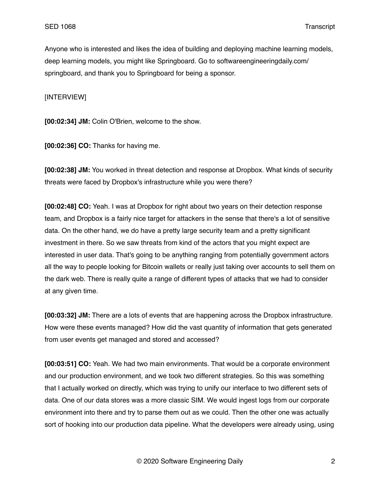Anyone who is interested and likes the idea of building and deploying machine learning models, deep learning models, you might like Springboard. Go to softwareengineeringdaily.com/ springboard, and thank you to Springboard for being a sponsor.

[INTERVIEW]

**[00:02:34] JM:** Colin O'Brien, welcome to the show.

**[00:02:36] CO:** Thanks for having me.

**[00:02:38] JM:** You worked in threat detection and response at Dropbox. What kinds of security threats were faced by Dropbox's infrastructure while you were there?

**[00:02:48] CO:** Yeah. I was at Dropbox for right about two years on their detection response team, and Dropbox is a fairly nice target for attackers in the sense that there's a lot of sensitive data. On the other hand, we do have a pretty large security team and a pretty significant investment in there. So we saw threats from kind of the actors that you might expect are interested in user data. That's going to be anything ranging from potentially government actors all the way to people looking for Bitcoin wallets or really just taking over accounts to sell them on the dark web. There is really quite a range of different types of attacks that we had to consider at any given time.

**[00:03:32] JM:** There are a lots of events that are happening across the Dropbox infrastructure. How were these events managed? How did the vast quantity of information that gets generated from user events get managed and stored and accessed?

**[00:03:51] CO:** Yeah. We had two main environments. That would be a corporate environment and our production environment, and we took two different strategies. So this was something that I actually worked on directly, which was trying to unify our interface to two different sets of data. One of our data stores was a more classic SIM. We would ingest logs from our corporate environment into there and try to parse them out as we could. Then the other one was actually sort of hooking into our production data pipeline. What the developers were already using, using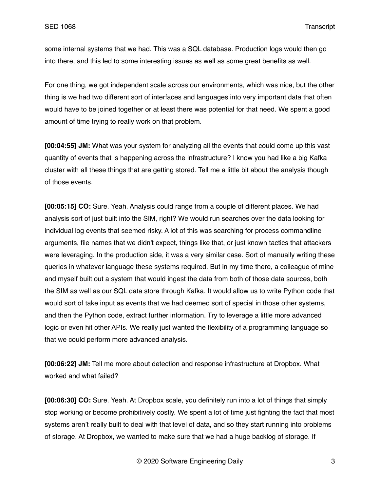some internal systems that we had. This was a SQL database. Production logs would then go into there, and this led to some interesting issues as well as some great benefits as well.

For one thing, we got independent scale across our environments, which was nice, but the other thing is we had two different sort of interfaces and languages into very important data that often would have to be joined together or at least there was potential for that need. We spent a good amount of time trying to really work on that problem.

**[00:04:55] JM:** What was your system for analyzing all the events that could come up this vast quantity of events that is happening across the infrastructure? I know you had like a big Kafka cluster with all these things that are getting stored. Tell me a little bit about the analysis though of those events.

**[00:05:15] CO:** Sure. Yeah. Analysis could range from a couple of different places. We had analysis sort of just built into the SIM, right? We would run searches over the data looking for individual log events that seemed risky. A lot of this was searching for process commandline arguments, file names that we didn't expect, things like that, or just known tactics that attackers were leveraging. In the production side, it was a very similar case. Sort of manually writing these queries in whatever language these systems required. But in my time there, a colleague of mine and myself built out a system that would ingest the data from both of those data sources, both the SIM as well as our SQL data store through Kafka. It would allow us to write Python code that would sort of take input as events that we had deemed sort of special in those other systems, and then the Python code, extract further information. Try to leverage a little more advanced logic or even hit other APIs. We really just wanted the flexibility of a programming language so that we could perform more advanced analysis.

**[00:06:22] JM:** Tell me more about detection and response infrastructure at Dropbox. What worked and what failed?

**[00:06:30] CO:** Sure. Yeah. At Dropbox scale, you definitely run into a lot of things that simply stop working or become prohibitively costly. We spent a lot of time just fighting the fact that most systems aren't really built to deal with that level of data, and so they start running into problems of storage. At Dropbox, we wanted to make sure that we had a huge backlog of storage. If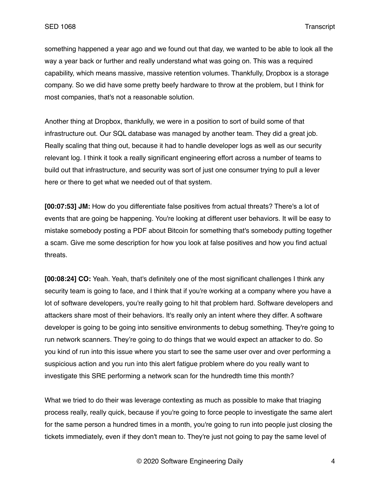something happened a year ago and we found out that day, we wanted to be able to look all the way a year back or further and really understand what was going on. This was a required capability, which means massive, massive retention volumes. Thankfully, Dropbox is a storage company. So we did have some pretty beefy hardware to throw at the problem, but I think for most companies, that's not a reasonable solution.

Another thing at Dropbox, thankfully, we were in a position to sort of build some of that infrastructure out. Our SQL database was managed by another team. They did a great job. Really scaling that thing out, because it had to handle developer logs as well as our security relevant log. I think it took a really significant engineering effort across a number of teams to build out that infrastructure, and security was sort of just one consumer trying to pull a lever here or there to get what we needed out of that system.

**[00:07:53] JM:** How do you differentiate false positives from actual threats? There's a lot of events that are going be happening. You're looking at different user behaviors. It will be easy to mistake somebody posting a PDF about Bitcoin for something that's somebody putting together a scam. Give me some description for how you look at false positives and how you find actual threats.

**[00:08:24] CO:** Yeah. Yeah, that's definitely one of the most significant challenges I think any security team is going to face, and I think that if you're working at a company where you have a lot of software developers, you're really going to hit that problem hard. Software developers and attackers share most of their behaviors. It's really only an intent where they differ. A software developer is going to be going into sensitive environments to debug something. They're going to run network scanners. They're going to do things that we would expect an attacker to do. So you kind of run into this issue where you start to see the same user over and over performing a suspicious action and you run into this alert fatigue problem where do you really want to investigate this SRE performing a network scan for the hundredth time this month?

What we tried to do their was leverage contexting as much as possible to make that triaging process really, really quick, because if you're going to force people to investigate the same alert for the same person a hundred times in a month, you're going to run into people just closing the tickets immediately, even if they don't mean to. They're just not going to pay the same level of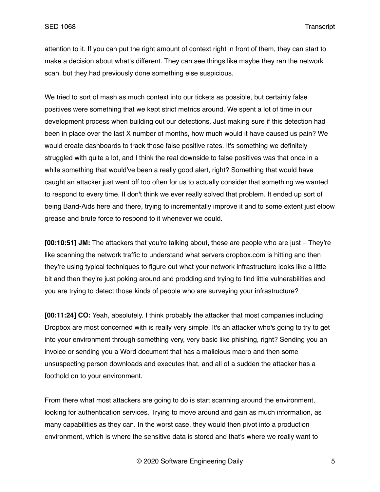attention to it. If you can put the right amount of context right in front of them, they can start to make a decision about what's different. They can see things like maybe they ran the network scan, but they had previously done something else suspicious.

We tried to sort of mash as much context into our tickets as possible, but certainly false positives were something that we kept strict metrics around. We spent a lot of time in our development process when building out our detections. Just making sure if this detection had been in place over the last X number of months, how much would it have caused us pain? We would create dashboards to track those false positive rates. It's something we definitely struggled with quite a lot, and I think the real downside to false positives was that once in a while something that would've been a really good alert, right? Something that would have caught an attacker just went off too often for us to actually consider that something we wanted to respond to every time. II don't think we ever really solved that problem. It ended up sort of being Band-Aids here and there, trying to incrementally improve it and to some extent just elbow grease and brute force to respond to it whenever we could.

**[00:10:51] JM:** The attackers that you're talking about, these are people who are just – They're like scanning the network traffic to understand what servers dropbox.com is hitting and then they're using typical techniques to figure out what your network infrastructure looks like a little bit and then they're just poking around and prodding and trying to find little vulnerabilities and you are trying to detect those kinds of people who are surveying your infrastructure?

**[00:11:24] CO:** Yeah, absolutely. I think probably the attacker that most companies including Dropbox are most concerned with is really very simple. It's an attacker who's going to try to get into your environment through something very, very basic like phishing, right? Sending you an invoice or sending you a Word document that has a malicious macro and then some unsuspecting person downloads and executes that, and all of a sudden the attacker has a foothold on to your environment.

From there what most attackers are going to do is start scanning around the environment, looking for authentication services. Trying to move around and gain as much information, as many capabilities as they can. In the worst case, they would then pivot into a production environment, which is where the sensitive data is stored and that's where we really want to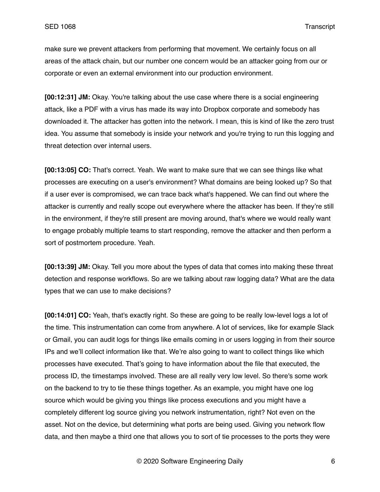make sure we prevent attackers from performing that movement. We certainly focus on all areas of the attack chain, but our number one concern would be an attacker going from our or corporate or even an external environment into our production environment.

**[00:12:31] JM:** Okay. You're talking about the use case where there is a social engineering attack, like a PDF with a virus has made its way into Dropbox corporate and somebody has downloaded it. The attacker has gotten into the network. I mean, this is kind of like the zero trust idea. You assume that somebody is inside your network and you're trying to run this logging and threat detection over internal users.

**[00:13:05] CO:** That's correct. Yeah. We want to make sure that we can see things like what processes are executing on a user's environment? What domains are being looked up? So that if a user ever is compromised, we can trace back what's happened. We can find out where the attacker is currently and really scope out everywhere where the attacker has been. If they're still in the environment, if they're still present are moving around, that's where we would really want to engage probably multiple teams to start responding, remove the attacker and then perform a sort of postmortem procedure. Yeah.

**[00:13:39] JM:** Okay. Tell you more about the types of data that comes into making these threat detection and response workflows. So are we talking about raw logging data? What are the data types that we can use to make decisions?

**[00:14:01] CO:** Yeah, that's exactly right. So these are going to be really low-level logs a lot of the time. This instrumentation can come from anywhere. A lot of services, like for example Slack or Gmail, you can audit logs for things like emails coming in or users logging in from their source IPs and we'll collect information like that. We're also going to want to collect things like which processes have executed. That's going to have information about the file that executed, the process ID, the timestamps involved. These are all really very low level. So there's some work on the backend to try to tie these things together. As an example, you might have one log source which would be giving you things like process executions and you might have a completely different log source giving you network instrumentation, right? Not even on the asset. Not on the device, but determining what ports are being used. Giving you network flow data, and then maybe a third one that allows you to sort of tie processes to the ports they were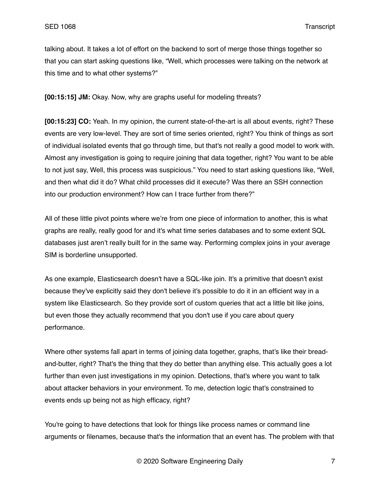talking about. It takes a lot of effort on the backend to sort of merge those things together so that you can start asking questions like, "Well, which processes were talking on the network at this time and to what other systems?"

**[00:15:15] JM:** Okay. Now, why are graphs useful for modeling threats?

**[00:15:23] CO:** Yeah. In my opinion, the current state-of-the-art is all about events, right? These events are very low-level. They are sort of time series oriented, right? You think of things as sort of individual isolated events that go through time, but that's not really a good model to work with. Almost any investigation is going to require joining that data together, right? You want to be able to not just say, Well, this process was suspicious." You need to start asking questions like, "Well, and then what did it do? What child processes did it execute? Was there an SSH connection into our production environment? How can I trace further from there?"

All of these little pivot points where we're from one piece of information to another, this is what graphs are really, really good for and it's what time series databases and to some extent SQL databases just aren't really built for in the same way. Performing complex joins in your average SIM is borderline unsupported.

As one example, Elasticsearch doesn't have a SQL-like join. It's a primitive that doesn't exist because they've explicitly said they don't believe it's possible to do it in an efficient way in a system like Elasticsearch. So they provide sort of custom queries that act a little bit like joins, but even those they actually recommend that you don't use if you care about query performance.

Where other systems fall apart in terms of joining data together, graphs, that's like their breadand-butter, right? That's the thing that they do better than anything else. This actually goes a lot further than even just investigations in my opinion. Detections, that's where you want to talk about attacker behaviors in your environment. To me, detection logic that's constrained to events ends up being not as high efficacy, right?

You're going to have detections that look for things like process names or command line arguments or filenames, because that's the information that an event has. The problem with that

© 2020 Software Engineering Daily 7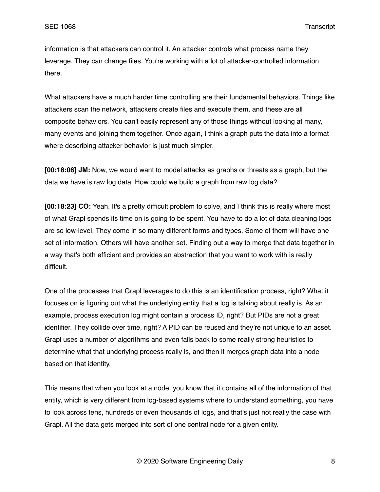information is that attackers can control it. An attacker controls what process name they leverage. They can change files. You're working with a lot of attacker-controlled information there.

What attackers have a much harder time controlling are their fundamental behaviors. Things like attackers scan the network, attackers create files and execute them, and these are all composite behaviors. You can't easily represent any of those things without looking at many, many events and joining them together. Once again, I think a graph puts the data into a format where describing attacker behavior is just much simpler.

**[00:18:06] JM:** Now, we would want to model attacks as graphs or threats as a graph, but the data we have is raw log data. How could we build a graph from raw log data?

**[00:18:23] CO:** Yeah. It's a pretty difficult problem to solve, and I think this is really where most of what Grapl spends its time on is going to be spent. You have to do a lot of data cleaning logs are so low-level. They come in so many different forms and types. Some of them will have one set of information. Others will have another set. Finding out a way to merge that data together in a way that's both efficient and provides an abstraction that you want to work with is really difficult.

One of the processes that Grapl leverages to do this is an identification process, right? What it focuses on is figuring out what the underlying entity that a log is talking about really is. As an example, process execution log might contain a process ID, right? But PIDs are not a great identifier. They collide over time, right? A PID can be reused and they're not unique to an asset. Grapl uses a number of algorithms and even falls back to some really strong heuristics to determine what that underlying process really is, and then it merges graph data into a node based on that identity.

This means that when you look at a node, you know that it contains all of the information of that entity, which is very different from log-based systems where to understand something, you have to look across tens, hundreds or even thousands of logs, and that's just not really the case with Grapl. All the data gets merged into sort of one central node for a given entity.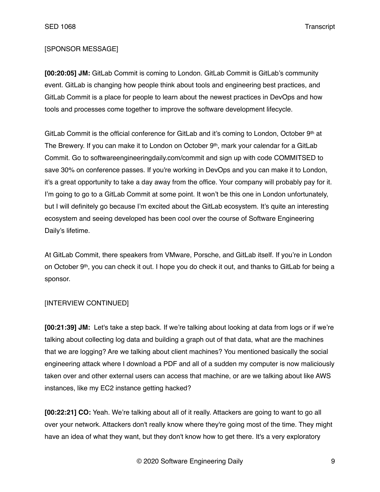## [SPONSOR MESSAGE]

**[00:20:05] JM:** GitLab Commit is coming to London. GitLab Commit is GitLab's community event. GitLab is changing how people think about tools and engineering best practices, and GitLab Commit is a place for people to learn about the newest practices in DevOps and how tools and processes come together to improve the software development lifecycle.

GitLab Commit is the official conference for GitLab and it's coming to London, October 9th at The Brewery. If you can make it to London on October 9<sup>th</sup>, mark your calendar for a GitLab Commit. Go to softwareengineeringdaily.com/commit and sign up with code COMMITSED to save 30% on conference passes. If you're working in DevOps and you can make it to London, it's a great opportunity to take a day away from the office. Your company will probably pay for it. I'm going to go to a GitLab Commit at some point. It won't be this one in London unfortunately, but I will definitely go because I'm excited about the GitLab ecosystem. It's quite an interesting ecosystem and seeing developed has been cool over the course of Software Engineering Daily's lifetime.

At GitLab Commit, there speakers from VMware, Porsche, and GitLab itself. If you're in London on October 9th, you can check it out. I hope you do check it out, and thanks to GitLab for being a sponsor.

#### [INTERVIEW CONTINUED]

**[00:21:39] JM:** Let's take a step back. If we're talking about looking at data from logs or if we're talking about collecting log data and building a graph out of that data, what are the machines that we are logging? Are we talking about client machines? You mentioned basically the social engineering attack where I download a PDF and all of a sudden my computer is now maliciously taken over and other external users can access that machine, or are we talking about like AWS instances, like my EC2 instance getting hacked?

**[00:22:21] CO:** Yeah. We're talking about all of it really. Attackers are going to want to go all over your network. Attackers don't really know where they're going most of the time. They might have an idea of what they want, but they don't know how to get there. It's a very exploratory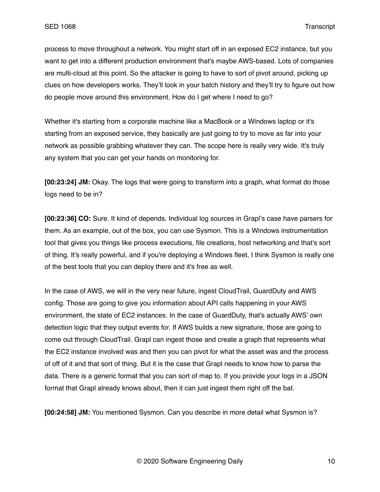process to move throughout a network. You might start off in an exposed EC2 instance, but you want to get into a different production environment that's maybe AWS-based. Lots of companies are multi-cloud at this point. So the attacker is going to have to sort of pivot around, picking up clues on how developers works. They'll look in your batch history and they'll try to figure out how do people move around this environment. How do I get where I need to go?

Whether it's starting from a corporate machine like a MacBook or a Windows laptop or it's starting from an exposed service, they basically are just going to try to move as far into your network as possible grabbing whatever they can. The scope here is really very wide. It's truly any system that you can get your hands on monitoring for.

**[00:23:24] JM:** Okay. The logs that were going to transform into a graph, what format do those logs need to be in?

**[00:23:36] CO:** Sure. It kind of depends. Individual log sources in Grapl's case have parsers for them. As an example, out of the box, you can use Sysmon. This is a Windows instrumentation tool that gives you things like process executions, file creations, host networking and that's sort of thing. It's really powerful, and if you're deploying a Windows fleet, I think Sysmon is really one of the best tools that you can deploy there and it's free as well.

In the case of AWS, we will in the very near future, ingest CloudTrail, GuardDuty and AWS config. Those are going to give you information about API calls happening in your AWS environment, the state of EC2 instances. In the case of GuardDuty, that's actually AWS' own detection logic that they output events for. If AWS builds a new signature, those are going to come out through CloudTrail. Grapl can ingest those and create a graph that represents what the EC2 instance involved was and then you can pivot for what the asset was and the process of off of it and that sort of thing. But it is the case that Grapl needs to know how to parse the data. There is a generic format that you can sort of map to. If you provide your logs in a JSON format that Grapl already knows about, then it can just ingest them right off the bat.

**[00:24:58] JM:** You mentioned Sysmon. Can you describe in more detail what Sysmon is?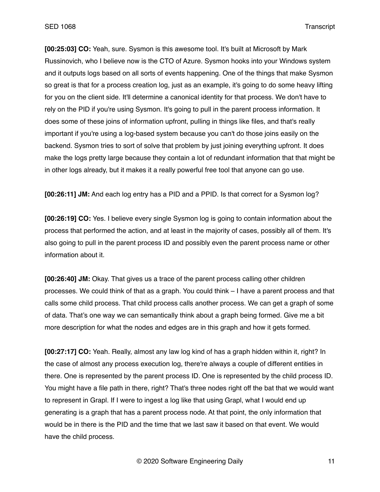**[00:25:03] CO:** Yeah, sure. Sysmon is this awesome tool. It's built at Microsoft by Mark Russinovich, who I believe now is the CTO of Azure. Sysmon hooks into your Windows system and it outputs logs based on all sorts of events happening. One of the things that make Sysmon so great is that for a process creation log, just as an example, it's going to do some heavy lifting for you on the client side. It'll determine a canonical identity for that process. We don't have to rely on the PID if you're using Sysmon. It's going to pull in the parent process information. It does some of these joins of information upfront, pulling in things like files, and that's really important if you're using a log-based system because you can't do those joins easily on the backend. Sysmon tries to sort of solve that problem by just joining everything upfront. It does make the logs pretty large because they contain a lot of redundant information that that might be in other logs already, but it makes it a really powerful free tool that anyone can go use.

**[00:26:11] JM:** And each log entry has a PID and a PPID. Is that correct for a Sysmon log?

**[00:26:19] CO:** Yes. I believe every single Sysmon log is going to contain information about the process that performed the action, and at least in the majority of cases, possibly all of them. It's also going to pull in the parent process ID and possibly even the parent process name or other information about it.

**[00:26:40] JM:** Okay. That gives us a trace of the parent process calling other children processes. We could think of that as a graph. You could think – I have a parent process and that calls some child process. That child process calls another process. We can get a graph of some of data. That's one way we can semantically think about a graph being formed. Give me a bit more description for what the nodes and edges are in this graph and how it gets formed.

**[00:27:17] CO:** Yeah. Really, almost any law log kind of has a graph hidden within it, right? In the case of almost any process execution log, there're always a couple of different entities in there. One is represented by the parent process ID. One is represented by the child process ID. You might have a file path in there, right? That's three nodes right off the bat that we would want to represent in Grapl. If I were to ingest a log like that using Grapl, what I would end up generating is a graph that has a parent process node. At that point, the only information that would be in there is the PID and the time that we last saw it based on that event. We would have the child process.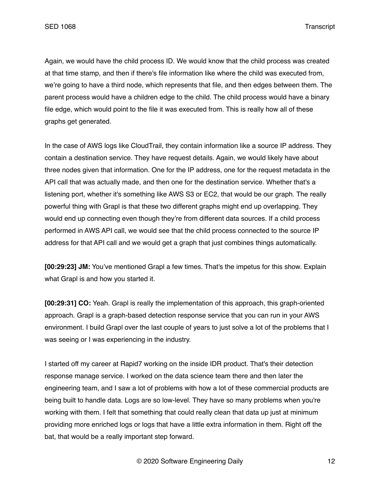Again, we would have the child process ID. We would know that the child process was created at that time stamp, and then if there's file information like where the child was executed from, we're going to have a third node, which represents that file, and then edges between them. The parent process would have a children edge to the child. The child process would have a binary file edge, which would point to the file it was executed from. This is really how all of these graphs get generated.

In the case of AWS logs like CloudTrail, they contain information like a source IP address. They contain a destination service. They have request details. Again, we would likely have about three nodes given that information. One for the IP address, one for the request metadata in the API call that was actually made, and then one for the destination service. Whether that's a listening port, whether it's something like AWS S3 or EC2, that would be our graph. The really powerful thing with Grapl is that these two different graphs might end up overlapping. They would end up connecting even though they're from different data sources. If a child process performed in AWS API call, we would see that the child process connected to the source IP address for that API call and we would get a graph that just combines things automatically.

**[00:29:23] JM:** You've mentioned Grapl a few times. That's the impetus for this show. Explain what Grapl is and how you started it.

**[00:29:31] CO:** Yeah. Grapl is really the implementation of this approach, this graph-oriented approach. Grapl is a graph-based detection response service that you can run in your AWS environment. I build Grapl over the last couple of years to just solve a lot of the problems that I was seeing or I was experiencing in the industry.

I started off my career at Rapid7 working on the inside IDR product. That's their detection response manage service. I worked on the data science team there and then later the engineering team, and I saw a lot of problems with how a lot of these commercial products are being built to handle data. Logs are so low-level. They have so many problems when you're working with them. I felt that something that could really clean that data up just at minimum providing more enriched logs or logs that have a little extra information in them. Right off the bat, that would be a really important step forward.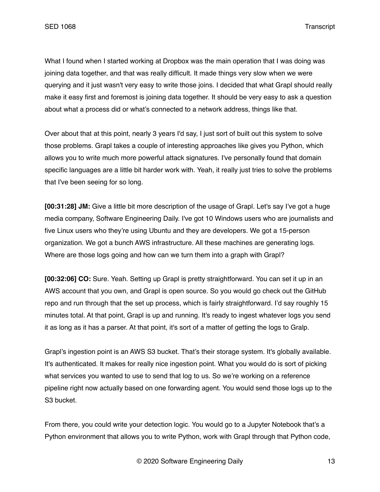What I found when I started working at Dropbox was the main operation that I was doing was joining data together, and that was really difficult. It made things very slow when we were querying and it just wasn't very easy to write those joins. I decided that what Grapl should really make it easy first and foremost is joining data together. It should be very easy to ask a question about what a process did or what's connected to a network address, things like that.

Over about that at this point, nearly 3 years I'd say, I just sort of built out this system to solve those problems. Grapl takes a couple of interesting approaches like gives you Python, which allows you to write much more powerful attack signatures. I've personally found that domain specific languages are a little bit harder work with. Yeah, it really just tries to solve the problems that I've been seeing for so long.

**[00:31:28] JM:** Give a little bit more description of the usage of Grapl. Let's say I've got a huge media company, Software Engineering Daily. I've got 10 Windows users who are journalists and five Linux users who they're using Ubuntu and they are developers. We got a 15-person organization. We got a bunch AWS infrastructure. All these machines are generating logs. Where are those logs going and how can we turn them into a graph with Grapl?

**[00:32:06] CO:** Sure. Yeah. Setting up Grapl is pretty straightforward. You can set it up in an AWS account that you own, and Grapl is open source. So you would go check out the GitHub repo and run through that the set up process, which is fairly straightforward. I'd say roughly 15 minutes total. At that point, Grapl is up and running. It's ready to ingest whatever logs you send it as long as it has a parser. At that point, it's sort of a matter of getting the logs to Gralp.

Grapl's ingestion point is an AWS S3 bucket. That's their storage system. It's globally available. It's authenticated. It makes for really nice ingestion point. What you would do is sort of picking what services you wanted to use to send that log to us. So we're working on a reference pipeline right now actually based on one forwarding agent. You would send those logs up to the S3 bucket.

From there, you could write your detection logic. You would go to a Jupyter Notebook that's a Python environment that allows you to write Python, work with Grapl through that Python code,

© 2020 Software Engineering Daily 13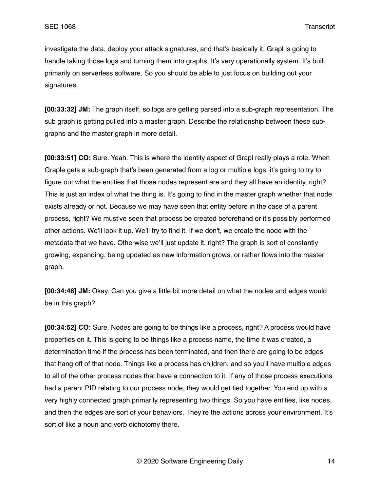investigate the data, deploy your attack signatures, and that's basically it. Grapl is going to handle taking those logs and turning them into graphs. It's very operationally system. It's built primarily on serverless software. So you should be able to just focus on building out your signatures.

**[00:33:32] JM:** The graph itself, so logs are getting parsed into a sub-graph representation. The sub graph is getting pulled into a master graph. Describe the relationship between these subgraphs and the master graph in more detail.

**[00:33:51] CO:** Sure. Yeah. This is where the identity aspect of Grapl really plays a role. When Graple gets a sub-graph that's been generated from a log or multiple logs, it's going to try to figure out what the entities that those nodes represent are and they all have an identity, right? This is just an index of what the thing is. It's going to find in the master graph whether that node exists already or not. Because we may have seen that entity before in the case of a parent process, right? We must've seen that process be created beforehand or it's possibly performed other actions. We'll look it up. We'll try to find it. If we don't, we create the node with the metadata that we have. Otherwise we'll just update it, right? The graph is sort of constantly growing, expanding, being updated as new information grows, or rather flows into the master graph.

**[00:34:46] JM:** Okay. Can you give a little bit more detail on what the nodes and edges would be in this graph?

**[00:34:52] CO:** Sure. Nodes are going to be things like a process, right? A process would have properties on it. This is going to be things like a process name, the time it was created, a determination time if the process has been terminated, and then there are going to be edges that hang off of that node. Things like a process has children, and so you'll have multiple edges to all of the other process nodes that have a connection to it. If any of those process executions had a parent PID relating to our process node, they would get tied together. You end up with a very highly connected graph primarily representing two things. So you have entities, like nodes, and then the edges are sort of your behaviors. They're the actions across your environment. It's sort of like a noun and verb dichotomy there.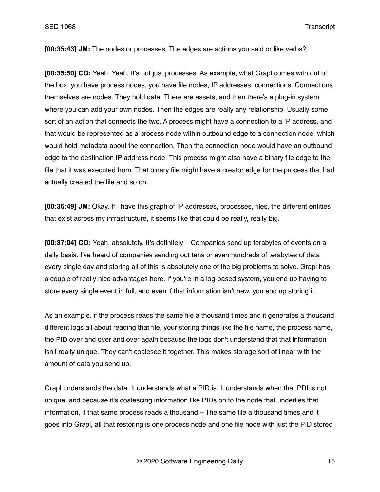**[00:35:43] JM:** The nodes or processes. The edges are actions you said or like verbs?

**[00:35:50] CO:** Yeah. Yeah. It's not just processes. As example, what Grapl comes with out of the box, you have process nodes, you have file nodes, IP addresses, connections. Connections themselves are nodes. They hold data. There are assets, and then there's a plug-in system where you can add your own nodes. Then the edges are really any relationship. Usually some sort of an action that connects the two. A process might have a connection to a IP address, and that would be represented as a process node within outbound edge to a connection node, which would hold metadata about the connection. Then the connection node would have an outbound edge to the destination IP address node. This process might also have a binary file edge to the file that it was executed from. That binary file might have a creator edge for the process that had actually created the file and so on.

**[00:36:49] JM:** Okay. If I have this graph of IP addresses, processes, files, the different entities that exist across my infrastructure, it seems like that could be really, really big.

**[00:37:04] CO:** Yeah, absolutely. It's definitely – Companies send up terabytes of events on a daily basis. I've heard of companies sending out tens or even hundreds of terabytes of data every single day and storing all of this is absolutely one of the big problems to solve. Grapl has a couple of really nice advantages here. If you're in a log-based system, you end up having to store every single event in full, and even if that information isn't new, you end up storing it.

As an example, if the process reads the same file a thousand times and it generates a thousand different logs all about reading that file, your storing things like the file name, the process name, the PID over and over and over again because the logs don't understand that that information isn't really unique. They can't coalesce it together. This makes storage sort of linear with the amount of data you send up.

Grapl understands the data. It understands what a PID is. It understands when that PDI is not unique, and because it's coalescing information like PIDs on to the node that underlies that information, if that same process reads a thousand – The same file a thousand times and it goes into Grapl, all that restoring is one process node and one file node with just the PID stored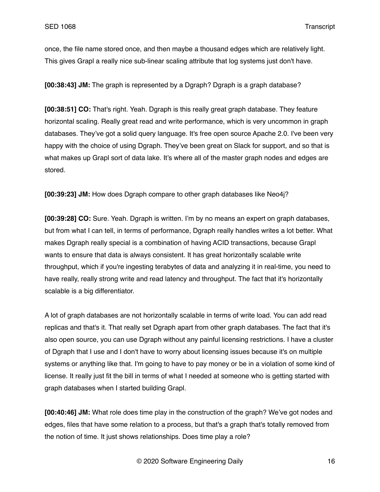once, the file name stored once, and then maybe a thousand edges which are relatively light. This gives Grapl a really nice sub-linear scaling attribute that log systems just don't have.

**[00:38:43] JM:** The graph is represented by a Dgraph? Dgraph is a graph database?

**[00:38:51] CO:** That's right. Yeah. Dgraph is this really great graph database. They feature horizontal scaling. Really great read and write performance, which is very uncommon in graph databases. They've got a solid query language. It's free open source Apache 2.0. I've been very happy with the choice of using Dgraph. They've been great on Slack for support, and so that is what makes up Grapl sort of data lake. It's where all of the master graph nodes and edges are stored.

**[00:39:23] JM:** How does Dgraph compare to other graph databases like Neo4j?

**[00:39:28] CO:** Sure. Yeah. Dgraph is written. I'm by no means an expert on graph databases, but from what I can tell, in terms of performance, Dgraph really handles writes a lot better. What makes Dgraph really special is a combination of having ACID transactions, because Grapl wants to ensure that data is always consistent. It has great horizontally scalable write throughput, which if you're ingesting terabytes of data and analyzing it in real-time, you need to have really, really strong write and read latency and throughput. The fact that it's horizontally scalable is a big differentiator.

A lot of graph databases are not horizontally scalable in terms of write load. You can add read replicas and that's it. That really set Dgraph apart from other graph databases. The fact that it's also open source, you can use Dgraph without any painful licensing restrictions. I have a cluster of Dgraph that I use and I don't have to worry about licensing issues because it's on multiple systems or anything like that. I'm going to have to pay money or be in a violation of some kind of license. It really just fit the bill in terms of what I needed at someone who is getting started with graph databases when I started building Grapl.

**[00:40:46] JM:** What role does time play in the construction of the graph? We've got nodes and edges, files that have some relation to a process, but that's a graph that's totally removed from the notion of time. It just shows relationships. Does time play a role?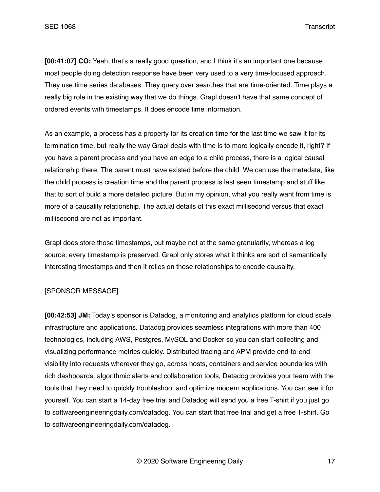**[00:41:07] CO:** Yeah, that's a really good question, and I think it's an important one because most people doing detection response have been very used to a very time-focused approach. They use time series databases. They query over searches that are time-oriented. Time plays a really big role in the existing way that we do things. Grapl doesn't have that same concept of ordered events with timestamps. It does encode time information.

As an example, a process has a property for its creation time for the last time we saw it for its termination time, but really the way Grapl deals with time is to more logically encode it, right? If you have a parent process and you have an edge to a child process, there is a logical causal relationship there. The parent must have existed before the child. We can use the metadata, like the child process is creation time and the parent process is last seen timestamp and stuff like that to sort of build a more detailed picture. But in my opinion, what you really want from time is more of a causality relationship. The actual details of this exact millisecond versus that exact millisecond are not as important.

Grapl does store those timestamps, but maybe not at the same granularity, whereas a log source, every timestamp is preserved. Grapl only stores what it thinks are sort of semantically interesting timestamps and then it relies on those relationships to encode causality.

## [SPONSOR MESSAGE]

**[00:42:53] JM:** Today's sponsor is Datadog, a monitoring and analytics platform for cloud scale infrastructure and applications. Datadog provides seamless integrations with more than 400 technologies, including AWS, Postgres, MySQL and Docker so you can start collecting and visualizing performance metrics quickly. Distributed tracing and APM provide end-to-end visibility into requests wherever they go, across hosts, containers and service boundaries with rich dashboards, algorithmic alerts and collaboration tools, Datadog provides your team with the tools that they need to quickly troubleshoot and optimize modern applications. You can see it for yourself. You can start a 14-day free trial and Datadog will send you a free T-shirt if you just go to softwareengineeringdaily.com/datadog. You can start that free trial and get a free T-shirt. Go to softwareengineeringdaily.com/datadog.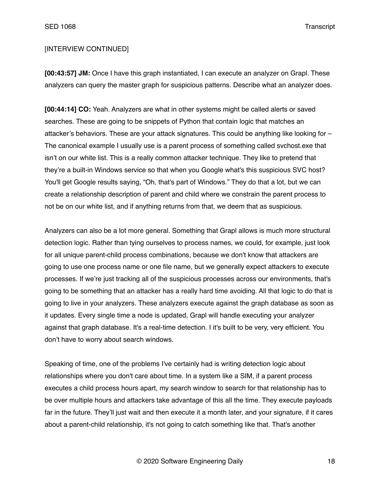# [INTERVIEW CONTINUED]

**[00:43:57] JM:** Once I have this graph instantiated, I can execute an analyzer on Grapl. These analyzers can query the master graph for suspicious patterns. Describe what an analyzer does.

**[00:44:14] CO:** Yeah. Analyzers are what in other systems might be called alerts or saved searches. These are going to be snippets of Python that contain logic that matches an attacker's behaviors. These are your attack signatures. This could be anything like looking for – The canonical example I usually use is a parent process of something called svchost.exe that isn't on our white list. This is a really common attacker technique. They like to pretend that they're a built-in Windows service so that when you Google what's this suspicious SVC host? You'll get Google results saying, "Oh, that's part of Windows." They do that a lot, but we can create a relationship description of parent and child where we constrain the parent process to not be on our white list, and if anything returns from that, we deem that as suspicious.

Analyzers can also be a lot more general. Something that Grapl allows is much more structural detection logic. Rather than tying ourselves to process names, we could, for example, just look for all unique parent-child process combinations, because we don't know that attackers are going to use one process name or one file name, but we generally expect attackers to execute processes. If we're just tracking all of the suspicious processes across our environments, that's going to be something that an attacker has a really hard time avoiding. All that logic to do that is going to live in your analyzers. These analyzers execute against the graph database as soon as it updates. Every single time a node is updated, Grapl will handle executing your analyzer against that graph database. It's a real-time detection. I it's built to be very, very efficient. You don't have to worry about search windows.

Speaking of time, one of the problems I've certainly had is writing detection logic about relationships where you don't care about time. In a system like a SIM, if a parent process executes a child process hours apart, my search window to search for that relationship has to be over multiple hours and attackers take advantage of this all the time. They execute payloads far in the future. They'll just wait and then execute it a month later, and your signature, if it cares about a parent-child relationship, it's not going to catch something like that. That's another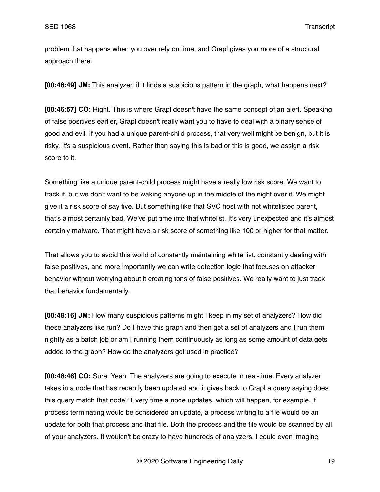problem that happens when you over rely on time, and Grapl gives you more of a structural approach there.

**[00:46:49] JM:** This analyzer, if it finds a suspicious pattern in the graph, what happens next?

**[00:46:57] CO:** Right. This is where Grapl doesn't have the same concept of an alert. Speaking of false positives earlier, Grapl doesn't really want you to have to deal with a binary sense of good and evil. If you had a unique parent-child process, that very well might be benign, but it is risky. It's a suspicious event. Rather than saying this is bad or this is good, we assign a risk score to it.

Something like a unique parent-child process might have a really low risk score. We want to track it, but we don't want to be waking anyone up in the middle of the night over it. We might give it a risk score of say five. But something like that SVC host with not whitelisted parent, that's almost certainly bad. We've put time into that whitelist. It's very unexpected and it's almost certainly malware. That might have a risk score of something like 100 or higher for that matter.

That allows you to avoid this world of constantly maintaining white list, constantly dealing with false positives, and more importantly we can write detection logic that focuses on attacker behavior without worrying about it creating tons of false positives. We really want to just track that behavior fundamentally.

**[00:48:16] JM:** How many suspicious patterns might I keep in my set of analyzers? How did these analyzers like run? Do I have this graph and then get a set of analyzers and I run them nightly as a batch job or am I running them continuously as long as some amount of data gets added to the graph? How do the analyzers get used in practice?

**[00:48:46] CO:** Sure. Yeah. The analyzers are going to execute in real-time. Every analyzer takes in a node that has recently been updated and it gives back to Grapl a query saying does this query match that node? Every time a node updates, which will happen, for example, if process terminating would be considered an update, a process writing to a file would be an update for both that process and that file. Both the process and the file would be scanned by all of your analyzers. It wouldn't be crazy to have hundreds of analyzers. I could even imagine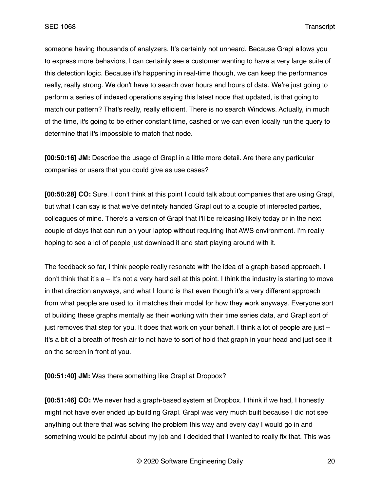someone having thousands of analyzers. It's certainly not unheard. Because Grapl allows you to express more behaviors, I can certainly see a customer wanting to have a very large suite of this detection logic. Because it's happening in real-time though, we can keep the performance really, really strong. We don't have to search over hours and hours of data. We're just going to perform a series of indexed operations saying this latest node that updated, is that going to match our pattern? That's really, really efficient. There is no search Windows. Actually, in much of the time, it's going to be either constant time, cashed or we can even locally run the query to determine that it's impossible to match that node.

**[00:50:16] JM:** Describe the usage of Grapl in a little more detail. Are there any particular companies or users that you could give as use cases?

**[00:50:28] CO:** Sure. I don't think at this point I could talk about companies that are using Grapl, but what I can say is that we've definitely handed Grapl out to a couple of interested parties, colleagues of mine. There's a version of Grapl that I'll be releasing likely today or in the next couple of days that can run on your laptop without requiring that AWS environment. I'm really hoping to see a lot of people just download it and start playing around with it.

The feedback so far, I think people really resonate with the idea of a graph-based approach. I don't think that it's a – It's not a very hard sell at this point. I think the industry is starting to move in that direction anyways, and what I found is that even though it's a very different approach from what people are used to, it matches their model for how they work anyways. Everyone sort of building these graphs mentally as their working with their time series data, and Grapl sort of just removes that step for you. It does that work on your behalf. I think a lot of people are just – It's a bit of a breath of fresh air to not have to sort of hold that graph in your head and just see it on the screen in front of you.

**[00:51:40] JM:** Was there something like Grapl at Dropbox?

**[00:51:46] CO:** We never had a graph-based system at Dropbox. I think if we had, I honestly might not have ever ended up building Grapl. Grapl was very much built because I did not see anything out there that was solving the problem this way and every day I would go in and something would be painful about my job and I decided that I wanted to really fix that. This was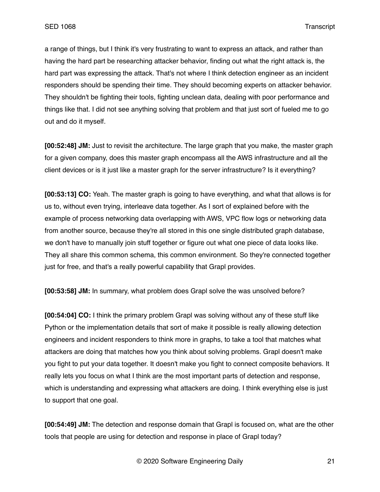a range of things, but I think it's very frustrating to want to express an attack, and rather than having the hard part be researching attacker behavior, finding out what the right attack is, the hard part was expressing the attack. That's not where I think detection engineer as an incident responders should be spending their time. They should becoming experts on attacker behavior. They shouldn't be fighting their tools, fighting unclean data, dealing with poor performance and things like that. I did not see anything solving that problem and that just sort of fueled me to go out and do it myself.

**[00:52:48] JM:** Just to revisit the architecture. The large graph that you make, the master graph for a given company, does this master graph encompass all the AWS infrastructure and all the client devices or is it just like a master graph for the server infrastructure? Is it everything?

**[00:53:13] CO:** Yeah. The master graph is going to have everything, and what that allows is for us to, without even trying, interleave data together. As I sort of explained before with the example of process networking data overlapping with AWS, VPC flow logs or networking data from another source, because they're all stored in this one single distributed graph database, we don't have to manually join stuff together or figure out what one piece of data looks like. They all share this common schema, this common environment. So they're connected together just for free, and that's a really powerful capability that Grapl provides.

**[00:53:58] JM:** In summary, what problem does Grapl solve the was unsolved before?

**[00:54:04] CO:** I think the primary problem Grapl was solving without any of these stuff like Python or the implementation details that sort of make it possible is really allowing detection engineers and incident responders to think more in graphs, to take a tool that matches what attackers are doing that matches how you think about solving problems. Grapl doesn't make you fight to put your data together. It doesn't make you fight to connect composite behaviors. It really lets you focus on what I think are the most important parts of detection and response, which is understanding and expressing what attackers are doing. I think everything else is just to support that one goal.

**[00:54:49] JM:** The detection and response domain that Grapl is focused on, what are the other tools that people are using for detection and response in place of Grapl today?

© 2020 Software Engineering Daily 21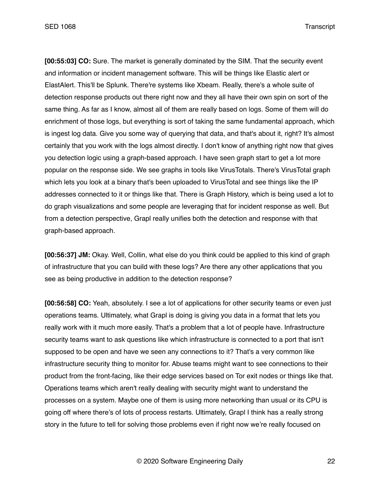**[00:55:03] CO:** Sure. The market is generally dominated by the SIM. That the security event and information or incident management software. This will be things like Elastic alert or ElastAlert. This'll be Splunk. There're systems like Xbeam. Really, there's a whole suite of detection response products out there right now and they all have their own spin on sort of the same thing. As far as I know, almost all of them are really based on logs. Some of them will do enrichment of those logs, but everything is sort of taking the same fundamental approach, which is ingest log data. Give you some way of querying that data, and that's about it, right? It's almost certainly that you work with the logs almost directly. I don't know of anything right now that gives you detection logic using a graph-based approach. I have seen graph start to get a lot more popular on the response side. We see graphs in tools like VirusTotals. There's VirusTotal graph which lets you look at a binary that's been uploaded to VirusTotal and see things like the IP addresses connected to it or things like that. There is Graph History, which is being used a lot to do graph visualizations and some people are leveraging that for incident response as well. But from a detection perspective, Grapl really unifies both the detection and response with that graph-based approach.

**[00:56:37] JM:** Okay. Well, Collin, what else do you think could be applied to this kind of graph of infrastructure that you can build with these logs? Are there any other applications that you see as being productive in addition to the detection response?

**[00:56:58] CO:** Yeah, absolutely. I see a lot of applications for other security teams or even just operations teams. Ultimately, what Grapl is doing is giving you data in a format that lets you really work with it much more easily. That's a problem that a lot of people have. Infrastructure security teams want to ask questions like which infrastructure is connected to a port that isn't supposed to be open and have we seen any connections to it? That's a very common like infrastructure security thing to monitor for. Abuse teams might want to see connections to their product from the front-facing, like their edge services based on Tor exit nodes or things like that. Operations teams which aren't really dealing with security might want to understand the processes on a system. Maybe one of them is using more networking than usual or its CPU is going off where there's of lots of process restarts. Ultimately, Grapl I think has a really strong story in the future to tell for solving those problems even if right now we're really focused on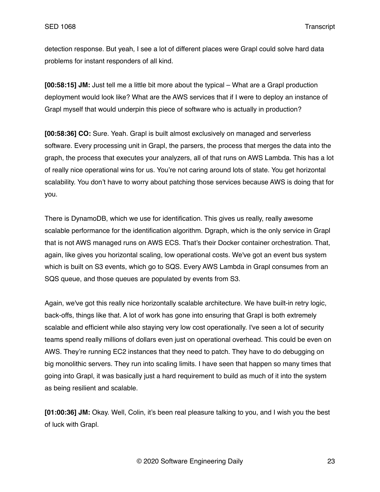detection response. But yeah, I see a lot of different places were Grapl could solve hard data problems for instant responders of all kind.

**[00:58:15] JM:** Just tell me a little bit more about the typical – What are a Grapl production deployment would look like? What are the AWS services that if I were to deploy an instance of Grapl myself that would underpin this piece of software who is actually in production?

**[00:58:36] CO:** Sure. Yeah. Grapl is built almost exclusively on managed and serverless software. Every processing unit in Grapl, the parsers, the process that merges the data into the graph, the process that executes your analyzers, all of that runs on AWS Lambda. This has a lot of really nice operational wins for us. You're not caring around lots of state. You get horizontal scalability. You don't have to worry about patching those services because AWS is doing that for you.

There is DynamoDB, which we use for identification. This gives us really, really awesome scalable performance for the identification algorithm. Dgraph, which is the only service in Grapl that is not AWS managed runs on AWS ECS. That's their Docker container orchestration. That, again, like gives you horizontal scaling, low operational costs. We've got an event bus system which is built on S3 events, which go to SQS. Every AWS Lambda in Grapl consumes from an SQS queue, and those queues are populated by events from S3.

Again, we've got this really nice horizontally scalable architecture. We have built-in retry logic, back-offs, things like that. A lot of work has gone into ensuring that Grapl is both extremely scalable and efficient while also staying very low cost operationally. I've seen a lot of security teams spend really millions of dollars even just on operational overhead. This could be even on AWS. They're running EC2 instances that they need to patch. They have to do debugging on big monolithic servers. They run into scaling limits. I have seen that happen so many times that going into Grapl, it was basically just a hard requirement to build as much of it into the system as being resilient and scalable.

**[01:00:36] JM:** Okay. Well, Colin, it's been real pleasure talking to you, and I wish you the best of luck with Grapl.